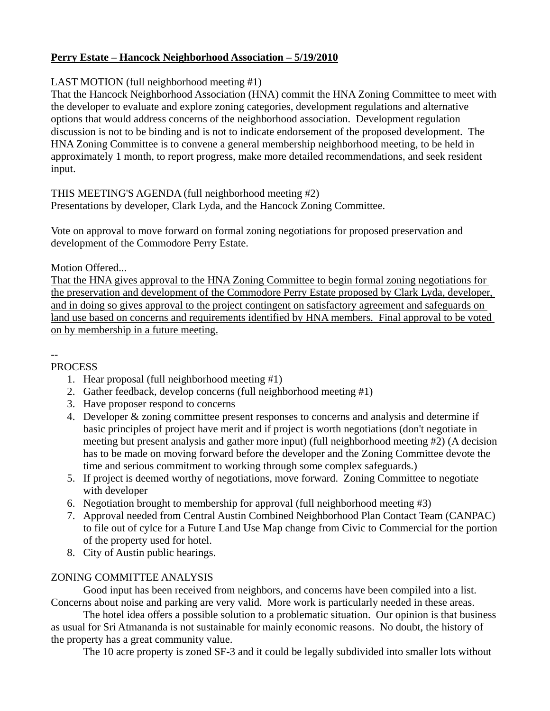#### **Perry Estate – Hancock Neighborhood Association – 5/19/2010**

### LAST MOTION (full neighborhood meeting #1)

That the Hancock Neighborhood Association (HNA) commit the HNA Zoning Committee to meet with the developer to evaluate and explore zoning categories, development regulations and alternative options that would address concerns of the neighborhood association. Development regulation discussion is not to be binding and is not to indicate endorsement of the proposed development. The HNA Zoning Committee is to convene a general membership neighborhood meeting, to be held in approximately 1 month, to report progress, make more detailed recommendations, and seek resident input.

# THIS MEETING'S AGENDA (full neighborhood meeting #2)

Presentations by developer, Clark Lyda, and the Hancock Zoning Committee.

Vote on approval to move forward on formal zoning negotiations for proposed preservation and development of the Commodore Perry Estate.

### Motion Offered...

That the HNA gives approval to the HNA Zoning Committee to begin formal zoning negotiations for the preservation and development of the Commodore Perry Estate proposed by Clark Lyda, developer, and in doing so gives approval to the project contingent on satisfactory agreement and safeguards on land use based on concerns and requirements identified by HNA members. Final approval to be voted on by membership in a future meeting.

#### -- **PROCESS**

- 1. Hear proposal (full neighborhood meeting #1)
- 2. Gather feedback, develop concerns (full neighborhood meeting #1)
- 3. Have proposer respond to concerns
- 4. Developer & zoning committee present responses to concerns and analysis and determine if basic principles of project have merit and if project is worth negotiations (don't negotiate in meeting but present analysis and gather more input) (full neighborhood meeting #2) (A decision has to be made on moving forward before the developer and the Zoning Committee devote the time and serious commitment to working through some complex safeguards.)
- 5. If project is deemed worthy of negotiations, move forward. Zoning Committee to negotiate with developer
- 6. Negotiation brought to membership for approval (full neighborhood meeting #3)
- 7. Approval needed from Central Austin Combined Neighborhood Plan Contact Team (CANPAC) to file out of cylce for a Future Land Use Map change from Civic to Commercial for the portion of the property used for hotel.
- 8. City of Austin public hearings.

## ZONING COMMITTEE ANALYSIS

Good input has been received from neighbors, and concerns have been compiled into a list. Concerns about noise and parking are very valid. More work is particularly needed in these areas.

The hotel idea offers a possible solution to a problematic situation. Our opinion is that business as usual for Sri Atmananda is not sustainable for mainly economic reasons. No doubt, the history of the property has a great community value.

The 10 acre property is zoned SF-3 and it could be legally subdivided into smaller lots without